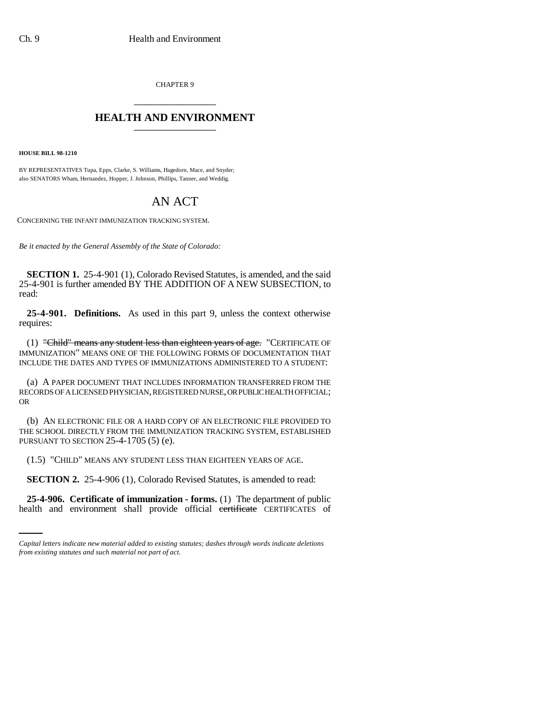CHAPTER 9 \_\_\_\_\_\_\_\_\_\_\_\_\_\_\_

## **HEALTH AND ENVIRONMENT** \_\_\_\_\_\_\_\_\_\_\_\_\_\_\_

**HOUSE BILL 98-1210**

BY REPRESENTATIVES Tupa, Epps, Clarke, S. Williams, Hagedorn, Mace, and Snyder; also SENATORS Wham, Hernandez, Hopper, J. Johnson, Phillips, Tanner, and Weddig.

## AN ACT

CONCERNING THE INFANT IMMUNIZATION TRACKING SYSTEM.

*Be it enacted by the General Assembly of the State of Colorado:*

**SECTION 1.** 25-4-901 (1), Colorado Revised Statutes, is amended, and the said 25-4-901 is further amended BY THE ADDITION OF A NEW SUBSECTION, to read:

**25-4-901. Definitions.** As used in this part 9, unless the context otherwise requires:

(1) "Child" means any student less than eighteen years of age. "CERTIFICATE OF IMMUNIZATION" MEANS ONE OF THE FOLLOWING FORMS OF DOCUMENTATION THAT INCLUDE THE DATES AND TYPES OF IMMUNIZATIONS ADMINISTERED TO A STUDENT:

(a) A PAPER DOCUMENT THAT INCLUDES INFORMATION TRANSFERRED FROM THE RECORDS OF A LICENSED PHYSICIAN, REGISTERED NURSE, OR PUBLIC HEALTH OFFICIAL; OR

(b) AN ELECTRONIC FILE OR A HARD COPY OF AN ELECTRONIC FILE PROVIDED TO THE SCHOOL DIRECTLY FROM THE IMMUNIZATION TRACKING SYSTEM, ESTABLISHED PURSUANT TO SECTION 25-4-1705 (5) (e).

(1.5) "CHILD" MEANS ANY STUDENT LESS THAN EIGHTEEN YEARS OF AGE.

**SECTION 2.** 25-4-906 (1), Colorado Revised Statutes, is amended to read:

**25-4-906. Certificate of immunization - forms.** (1) The department of public health and environment shall provide official certificate CERTIFICATES of

*Capital letters indicate new material added to existing statutes; dashes through words indicate deletions from existing statutes and such material not part of act.*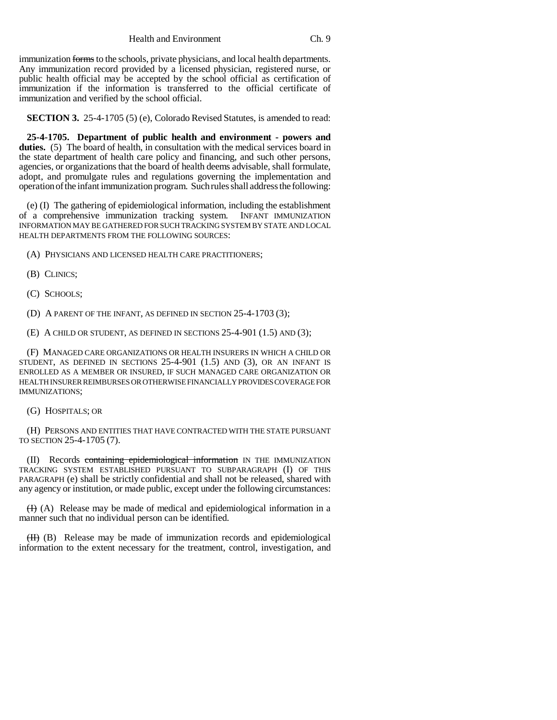immunization forms to the schools, private physicians, and local health departments. Any immunization record provided by a licensed physician, registered nurse, or public health official may be accepted by the school official as certification of immunization if the information is transferred to the official certificate of immunization and verified by the school official.

**SECTION 3.** 25-4-1705 (5) (e), Colorado Revised Statutes, is amended to read:

**25-4-1705. Department of public health and environment - powers and** duties. (5) The board of health, in consultation with the medical services board in the state department of health care policy and financing, and such other persons, agencies, or organizations that the board of health deems advisable, shall formulate, adopt, and promulgate rules and regulations governing the implementation and operation of the infant immunization program. Such rules shall address the following:

(e) (I) The gathering of epidemiological information, including the establishment of a comprehensive immunization tracking system. INFANT IMMUNIZATION INFORMATION MAY BE GATHERED FOR SUCH TRACKING SYSTEM BY STATE AND LOCAL HEALTH DEPARTMENTS FROM THE FOLLOWING SOURCES:

(A) PHYSICIANS AND LICENSED HEALTH CARE PRACTITIONERS;

- (B) CLINICS;
- (C) SCHOOLS;

(D) A PARENT OF THE INFANT, AS DEFINED IN SECTION 25-4-1703 (3);

(E) A CHILD OR STUDENT, AS DEFINED IN SECTIONS 25-4-901 (1.5) AND (3);

(F) MANAGED CARE ORGANIZATIONS OR HEALTH INSURERS IN WHICH A CHILD OR STUDENT, AS DEFINED IN SECTIONS  $25-4-901$   $(1.5)$  and  $(3)$ , or an infant is ENROLLED AS A MEMBER OR INSURED, IF SUCH MANAGED CARE ORGANIZATION OR HEALTH INSURER REIMBURSES OR OTHERWISE FINANCIALLY PROVIDES COVERAGE FOR IMMUNIZATIONS;

(G) HOSPITALS; OR

(H) PERSONS AND ENTITIES THAT HAVE CONTRACTED WITH THE STATE PURSUANT TO SECTION 25-4-1705 (7).

(II) Records containing epidemiological information IN THE IMMUNIZATION TRACKING SYSTEM ESTABLISHED PURSUANT TO SUBPARAGRAPH (I) OF THIS PARAGRAPH (e) shall be strictly confidential and shall not be released, shared with any agency or institution, or made public, except under the following circumstances:

 $(H)$  (A) Release may be made of medical and epidemiological information in a manner such that no individual person can be identified.

(II) (B) Release may be made of immunization records and epidemiological information to the extent necessary for the treatment, control, investigation, and